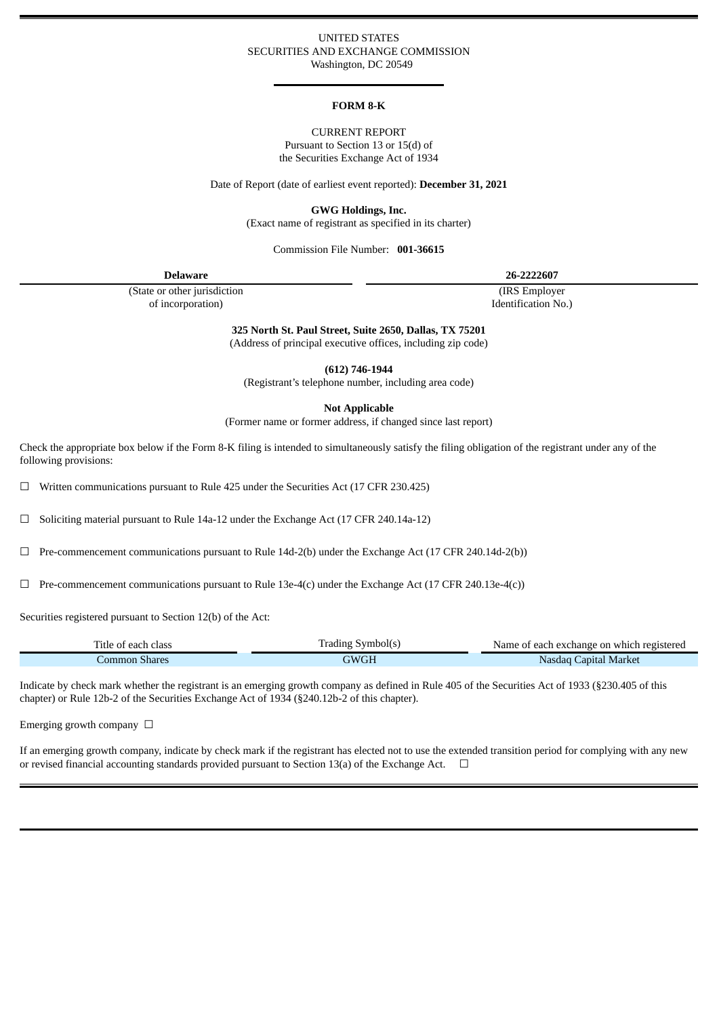## UNITED STATES SECURITIES AND EXCHANGE COMMISSION Washington, DC 20549

#### **FORM 8-K**

## CURRENT REPORT Pursuant to Section 13 or 15(d) of the Securities Exchange Act of 1934

Date of Report (date of earliest event reported): **December 31, 2021**

**GWG Holdings, Inc.**

(Exact name of registrant as specified in its charter)

#### Commission File Number: **001-36615**

**Delaware 26-2222607**

(State or other jurisdiction of incorporation)

(IRS Employer Identification No.)

**325 North St. Paul Street, Suite 2650, Dallas, TX 75201**

(Address of principal executive offices, including zip code)

**(612) 746-1944**

(Registrant's telephone number, including area code)

**Not Applicable**

(Former name or former address, if changed since last report)

Check the appropriate box below if the Form 8-K filing is intended to simultaneously satisfy the filing obligation of the registrant under any of the following provisions:

☐ Written communications pursuant to Rule 425 under the Securities Act (17 CFR 230.425)

☐ Soliciting material pursuant to Rule 14a-12 under the Exchange Act (17 CFR 240.14a-12)

 $\Box$  Pre-commencement communications pursuant to Rule 14d-2(b) under the Exchange Act (17 CFR 240.14d-2(b))

 $\Box$  Pre-commencement communications pursuant to Rule 13e-4(c) under the Exchange Act (17 CFR 240.13e-4(c))

Securities registered pursuant to Section 12(b) of the Act:

| Title of each class | frading Symbol(s) | Name of each exchange on which registered |
|---------------------|-------------------|-------------------------------------------|
| Common Shares       | GWGE              | Capital Market<br>Nasdag C                |

Indicate by check mark whether the registrant is an emerging growth company as defined in Rule 405 of the Securities Act of 1933 (§230.405 of this chapter) or Rule 12b-2 of the Securities Exchange Act of 1934 (§240.12b-2 of this chapter).

Emerging growth company  $\Box$ 

If an emerging growth company, indicate by check mark if the registrant has elected not to use the extended transition period for complying with any new or revised financial accounting standards provided pursuant to Section 13(a) of the Exchange Act.  $\Box$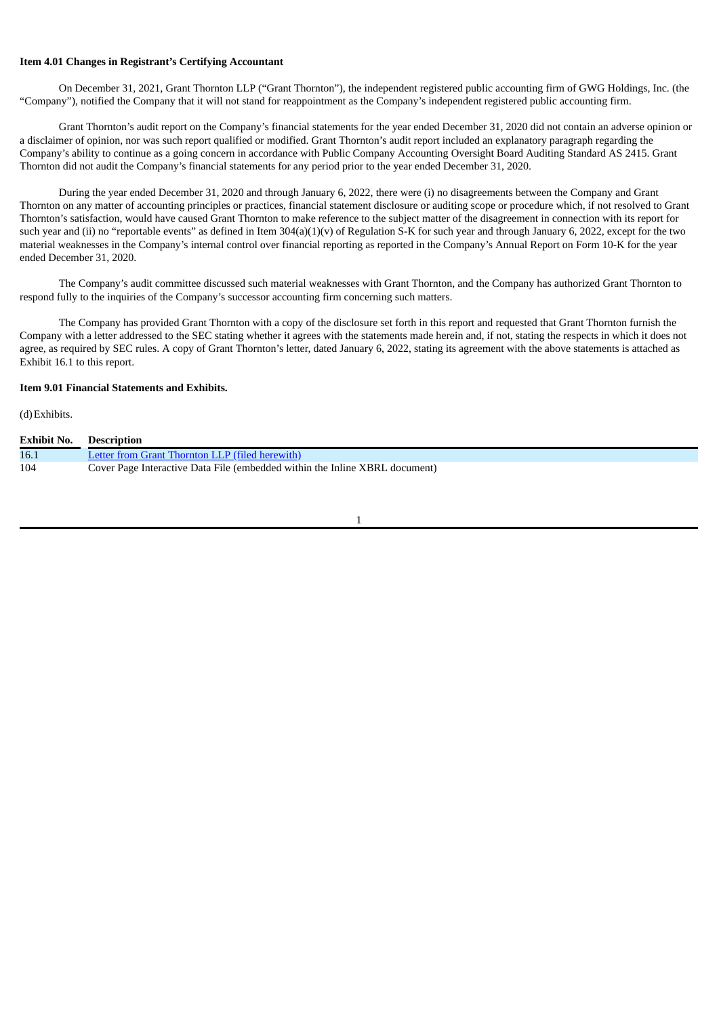## **Item 4.01 Changes in Registrant's Certifying Accountant**

On December 31, 2021, Grant Thornton LLP ("Grant Thornton"), the independent registered public accounting firm of GWG Holdings, Inc. (the "Company"), notified the Company that it will not stand for reappointment as the Company's independent registered public accounting firm.

Grant Thornton's audit report on the Company's financial statements for the year ended December 31, 2020 did not contain an adverse opinion or a disclaimer of opinion, nor was such report qualified or modified. Grant Thornton's audit report included an explanatory paragraph regarding the Company's ability to continue as a going concern in accordance with Public Company Accounting Oversight Board Auditing Standard AS 2415. Grant Thornton did not audit the Company's financial statements for any period prior to the year ended December 31, 2020.

During the year ended December 31, 2020 and through January 6, 2022, there were (i) no disagreements between the Company and Grant Thornton on any matter of accounting principles or practices, financial statement disclosure or auditing scope or procedure which, if not resolved to Grant Thornton's satisfaction, would have caused Grant Thornton to make reference to the subject matter of the disagreement in connection with its report for such year and (ii) no "reportable events" as defined in Item  $304(a)(1)(v)$  of Regulation S-K for such year and through January 6, 2022, except for the two material weaknesses in the Company's internal control over financial reporting as reported in the Company's Annual Report on Form 10-K for the year ended December 31, 2020.

The Company's audit committee discussed such material weaknesses with Grant Thornton, and the Company has authorized Grant Thornton to respond fully to the inquiries of the Company's successor accounting firm concerning such matters.

The Company has provided Grant Thornton with a copy of the disclosure set forth in this report and requested that Grant Thornton furnish the Company with a letter addressed to the SEC stating whether it agrees with the statements made herein and, if not, stating the respects in which it does not agree, as required by SEC rules. A copy of Grant Thornton's letter, dated January 6, 2022, stating its agreement with the above statements is attached as Exhibit 16.1 to this report.

# **Item 9.01 Financial Statements and Exhibits.**

(d)Exhibits.

| <b>Exhibit No.</b> | <b>Description</b>                                                          |
|--------------------|-----------------------------------------------------------------------------|
| 16.1               | Letter from Grant Thornton LLP (filed herewith)                             |
| 104                | Cover Page Interactive Data File (embedded within the Inline XBRL document) |

1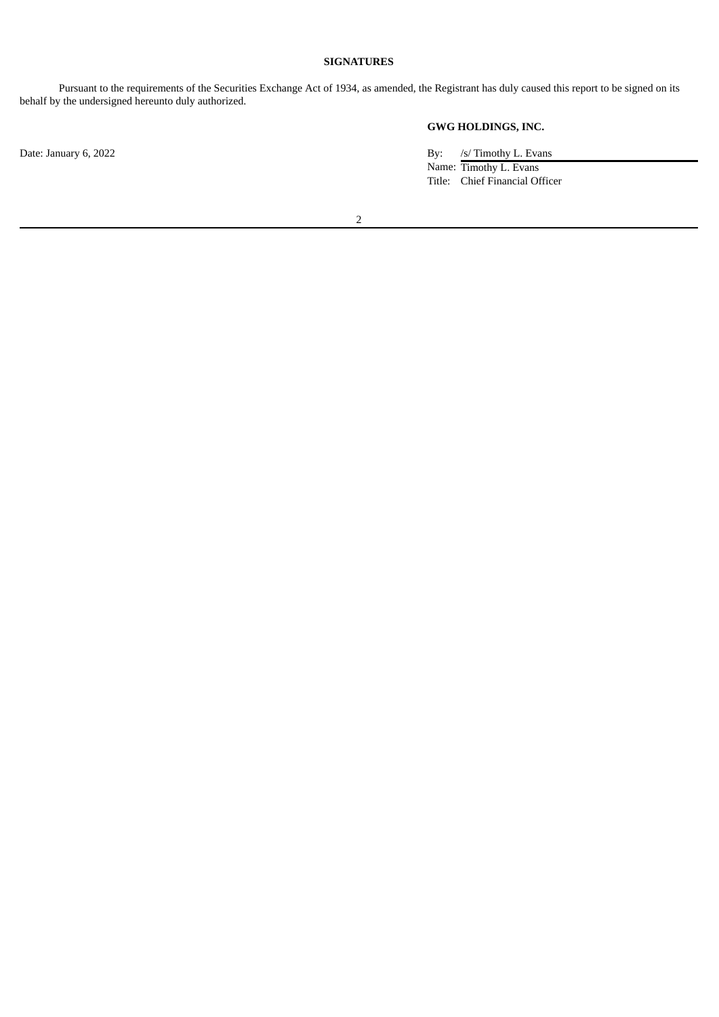# **SIGNATURES**

Pursuant to the requirements of the Securities Exchange Act of 1934, as amended, the Registrant has duly caused this report to be signed on its behalf by the undersigned hereunto duly authorized.

**GWG HOLDINGS, INC.**

Date: January 6, 2022 By: /s/ Timothy L. Evans Name: Timothy L. Evans Title: Chief Financial Officer

2